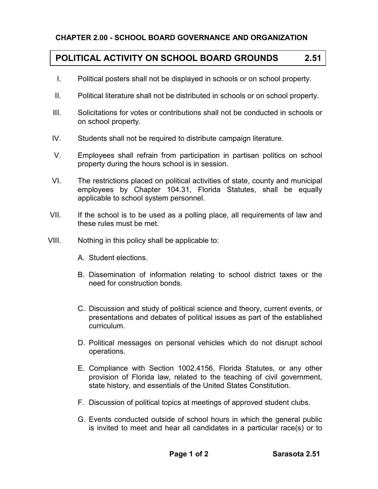## **CHAPTER 2.00 - SCHOOL BOARD GOVERNANCE AND ORGANIZATION**

## **POLITICAL ACTIVITY ON SCHOOL BOARD GROUNDS 2.51**

- I. Political posters shall not be displayed in schools or on school property.
- II. Political literature shall not be distributed in schools or on school property.
- III. Solicitations for votes or contributions shall not be conducted in schools or on school property.
- IV. Students shall not be required to distribute campaign literature.
- V. Employees shall refrain from participation in partisan politics on school property during the hours school is in session.
- VI. The restrictions placed on political activities of state, county and municipal employees by Chapter 104.31, Florida Statutes, shall be equally applicable to school system personnel.
- VII. If the school is to be used as a polling place, all requirements of law and these rules must be met.
- VIII. Nothing in this policy shall be applicable to:
	- A. Student elections.
	- B. Dissemination of information relating to school district taxes or the need for construction bonds.
	- C. Discussion and study of political science and theory, current events, or presentations and debates of political issues as part of the established curriculum.
	- D. Political messages on personal vehicles which do not disrupt school operations.
	- E. Compliance with Section 1002.4156, Florida Statutes, or any other provision of Florida law, related to the teaching of civil government, state history, and essentials of the United States Constitution.
	- F. Discussion of political topics at meetings of approved student clubs.
	- G. Events conducted outside of school hours in which the general public is invited to meet and hear all candidates in a particular race(s) or to